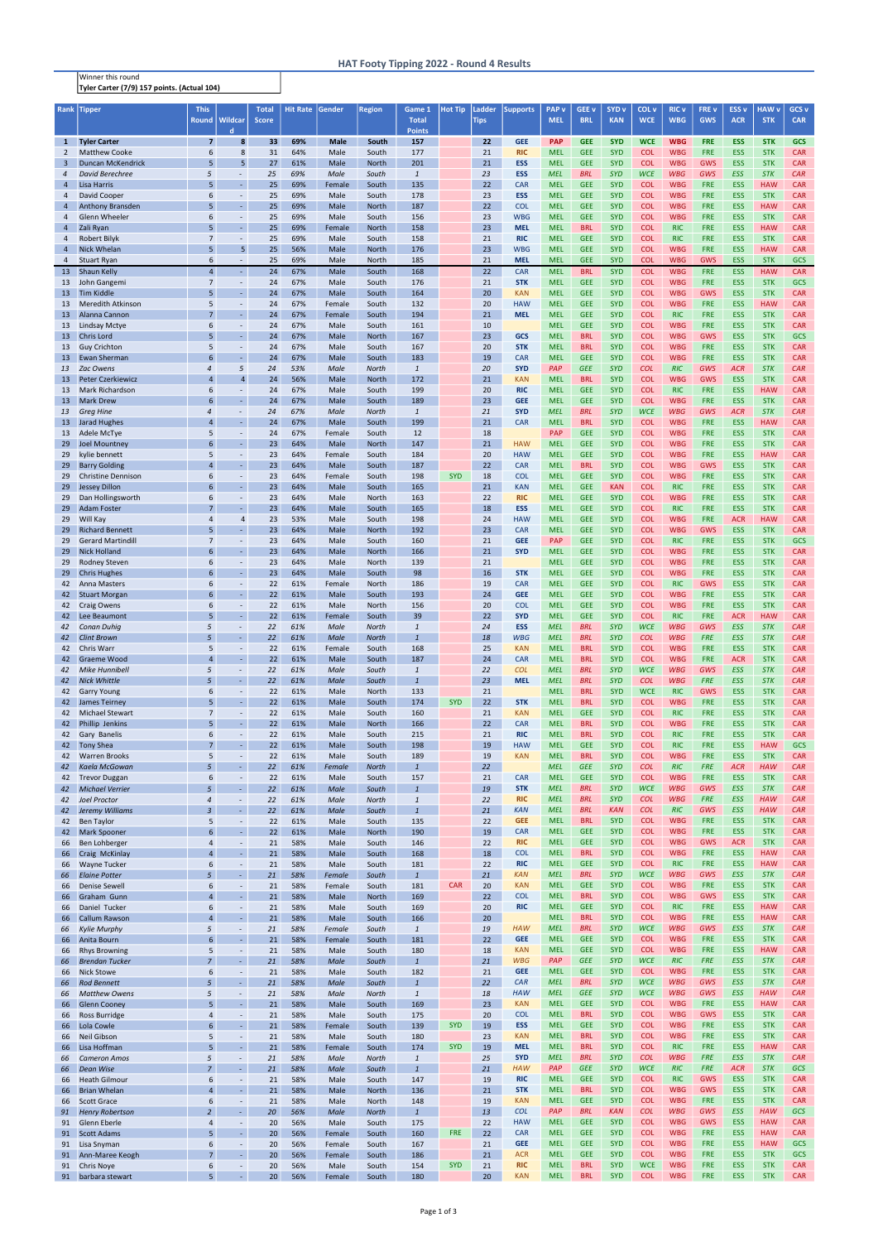Winner this round Tyler Carter (7/9) 157 points. (Actual 104)

| Rank                | <b>Tipper</b>                               | <b>This</b><br><b>Round</b>        | Wildcar                              | Total<br><b>Score</b> | <b>Hit Rate</b> | Gender           | Region                       | Game 1<br><b>Total</b>       | <b>Hot Tip</b> | Ladder<br><b>Tips</b> | <b>Supports</b>          | <b>PAP</b> v<br><b>MEL</b> | GEE <sub>v</sub><br><b>BRL</b> | SYD <sub>v</sub><br><b>KAN</b> | COL <sub>v</sub><br><b>WCE</b> | <b>RIC v</b><br><b>WBG</b> | FRE v<br><b>GWS</b>      | <b>ESS v</b><br><b>ACR</b> | <b>HAW</b> v<br><b>STK</b> | GCS <sub>v</sub><br><b>CAR</b> |
|---------------------|---------------------------------------------|------------------------------------|--------------------------------------|-----------------------|-----------------|------------------|------------------------------|------------------------------|----------------|-----------------------|--------------------------|----------------------------|--------------------------------|--------------------------------|--------------------------------|----------------------------|--------------------------|----------------------------|----------------------------|--------------------------------|
| $\mathbf{1}$        | <b>Tyler Carter</b>                         | $\overline{\mathbf{z}}$            | d<br>8                               | 33                    | 69%             | <b>Male</b>      | South                        | <b>Points</b><br>157         |                | 22                    | <b>GEE</b>               | <b>PAP</b>                 | <b>GEE</b>                     | <b>SYD</b>                     | <b>WCE</b>                     | <b>WBG</b>                 | <b>FRE</b>               | <b>ESS</b>                 | <b>STK</b>                 | <b>GCS</b>                     |
| $\overline{2}$      | <b>Matthew Cooke</b>                        | 6                                  | 8                                    | 31                    | 64%             | Male             | South                        | 177                          |                | 21                    | <b>RIC</b>               | <b>MEL</b>                 | <b>GEE</b>                     | <b>SYD</b>                     | <b>COL</b>                     | <b>WBG</b>                 | <b>FRE</b>               | <b>ESS</b>                 | <b>STK</b>                 | <b>CAR</b>                     |
| $\overline{3}$      | <b>Duncan McKendrick</b>                    | 5                                  | 5                                    | 27                    | 61%             | Male             | North                        | 201                          |                | 21                    | <b>ESS</b>               | <b>MEL</b>                 | <b>GEE</b>                     | <b>SYD</b>                     | <b>COL</b>                     | <b>WBG</b>                 | <b>GWS</b>               | <b>ESS</b>                 | <b>STK</b>                 | <b>CAR</b>                     |
| $\overline{4}$<br>4 | <b>David Berechree</b><br>Lisa Harris       | 5<br>5                             | $\blacksquare$<br>$\omega$           | 25<br>25              | 69%<br>69%      | Male<br>Female   | South<br>South               | $\mathbf{1}$<br>135          |                | 23<br>22              | <b>ESS</b><br>CAR        | <b>MEL</b><br><b>MEL</b>   | <b>BRL</b><br><b>GEE</b>       | <b>SYD</b><br><b>SYD</b>       | <b>WCE</b><br><b>COL</b>       | <b>WBG</b><br><b>WBG</b>   | GWS<br><b>FRE</b>        | ESS<br><b>ESS</b>          | <b>STK</b><br><b>HAW</b>   | CAR<br><b>CAR</b>              |
| 4                   | <b>David Cooper</b>                         | 6                                  | $\overline{\phantom{a}}$             | 25                    | 69%             | Male             | South                        | 178                          |                | 23                    | <b>ESS</b>               | <b>MEL</b>                 | <b>GEE</b>                     | <b>SYD</b>                     | <b>COL</b>                     | <b>WBG</b>                 | <b>FRE</b>               | <b>ESS</b>                 | <b>STK</b>                 | <b>CAR</b>                     |
| 4                   | Anthony Bransden                            | 5                                  | $\omega$                             | 25                    | 69%             | Male             | North                        | 187                          |                | 22                    | <b>COL</b>               | <b>MEL</b>                 | <b>GEE</b>                     | <b>SYD</b>                     | <b>COL</b>                     | <b>WBG</b>                 | <b>FRE</b>               | <b>ESS</b>                 | <b>HAW</b>                 | <b>CAR</b>                     |
| $\overline{4}$<br>4 | <b>Glenn Wheeler</b><br>Zali Ryan           | 6<br>5                             | $\sim$<br>$\omega$                   | 25<br>25              | 69%<br>69%      | Male<br>Female   | South<br>North               | 156<br>158                   |                | 23<br>23              | <b>WBG</b><br><b>MEL</b> | <b>MEL</b><br><b>MEL</b>   | <b>GEE</b><br><b>BRL</b>       | <b>SYD</b><br><b>SYD</b>       | <b>COL</b><br><b>COL</b>       | <b>WBG</b><br><b>RIC</b>   | <b>FRE</b><br><b>FRE</b> | <b>ESS</b><br><b>ESS</b>   | <b>STK</b><br><b>HAW</b>   | <b>CAR</b><br><b>CAR</b>       |
| 4                   | Robert Bilyk                                | $\overline{7}$                     | $\omega$                             | 25                    | 69%             | Male             | South                        | 158                          |                | 21                    | <b>RIC</b>               | <b>MEL</b>                 | <b>GEE</b>                     | <b>SYD</b>                     | <b>COL</b>                     | <b>RIC</b>                 | <b>FRE</b>               | <b>ESS</b>                 | <b>STK</b>                 | <b>CAR</b>                     |
| $\overline{4}$      | <b>Nick Whelan</b>                          | 5                                  | 5                                    | 25                    | 56%             | Male             | North                        | 176                          |                | 23                    | <b>WBG</b>               | <b>MEL</b>                 | <b>GEE</b>                     | <b>SYD</b>                     | <b>COL</b>                     | <b>WBG</b>                 | <b>FRE</b>               | <b>ESS</b>                 | <b>HAW</b>                 | <b>CAR</b>                     |
| $\overline{4}$      | <b>Stuart Ryan</b>                          | 6<br>$\overline{4}$                | $\sim$                               | 25                    | 69%<br>67%      | Male             | North                        | 185                          |                | 21                    | <b>MEL</b>               | <b>MEL</b>                 | <b>GEE</b>                     | <b>SYD</b>                     | <b>COL</b>                     | <b>WBG</b>                 | <b>GWS</b>               | <b>ESS</b>                 | <b>STK</b>                 | GCS                            |
| 13<br>13            | <b>Shaun Kelly</b><br>John Gangemi          | $\overline{7}$                     | $\sim$<br>$\sim$                     | 24<br>24              | 67%             | Male<br>Male     | South<br>South               | 168<br>176                   |                | 22<br>21              | <b>CAR</b><br><b>STK</b> | <b>MEL</b><br><b>MEL</b>   | <b>BRL</b><br><b>GEE</b>       | <b>SYD</b><br><b>SYD</b>       | <b>COL</b><br><b>COL</b>       | <b>WBG</b><br><b>WBG</b>   | <b>FRE</b><br><b>FRE</b> | <b>ESS</b><br><b>ESS</b>   | <b>HAW</b><br><b>STK</b>   | <b>CAR</b><br>GCS              |
| 13                  | <b>Tim Kiddle</b>                           | 5                                  | $\omega$                             | 24                    | 67%             | Male             | South                        | 164                          |                | 20                    | <b>KAN</b>               | <b>MEL</b>                 | <b>GEE</b>                     | <b>SYD</b>                     | <b>COL</b>                     | <b>WBG</b>                 | <b>GWS</b>               | <b>ESS</b>                 | <b>STK</b>                 | <b>CAR</b>                     |
| 13                  | <b>Meredith Atkinson</b>                    | 5                                  | $\overline{\phantom{a}}$             | 24                    | 67%             | Female           | South                        | 132                          |                | 20                    | <b>HAW</b>               | <b>MEL</b>                 | <b>GEE</b>                     | <b>SYD</b>                     | <b>COL</b>                     | <b>WBG</b>                 | <b>FRE</b>               | <b>ESS</b>                 | <b>HAW</b>                 | <b>CAR</b>                     |
| 13<br>13            | Alanna Cannon<br>Lindsay Mctye              | $\overline{7}$<br>6                | $\omega$<br>$\overline{\phantom{a}}$ | 24<br>24              | 67%<br>67%      | Female<br>Male   | South<br>South               | 194<br>161                   |                | 21<br>10              | <b>MEL</b>               | <b>MEL</b><br><b>MEL</b>   | <b>GEE</b><br><b>GEE</b>       | <b>SYD</b><br><b>SYD</b>       | <b>COL</b><br><b>COL</b>       | <b>RIC</b><br><b>WBG</b>   | <b>FRE</b><br><b>FRE</b> | <b>ESS</b><br><b>ESS</b>   | <b>STK</b><br><b>STK</b>   | <b>CAR</b><br><b>CAR</b>       |
| 13                  | <b>Chris Lord</b>                           | 5                                  | $\omega$                             | 24                    | 67%             | Male             | North                        | 167                          |                | 23                    | GCS                      | <b>MEL</b>                 | <b>BRL</b>                     | <b>SYD</b>                     | <b>COL</b>                     | <b>WBG</b>                 | <b>GWS</b>               | <b>ESS</b>                 | <b>STK</b>                 | GCS                            |
| 13                  | <b>Guy Crichton</b>                         | 5                                  | $\blacksquare$                       | 24                    | 67%             | Male             | South                        | 167                          |                | 20                    | <b>STK</b>               | <b>MEL</b>                 | <b>BRL</b>                     | <b>SYD</b>                     | <b>COL</b>                     | <b>WBG</b>                 | <b>FRE</b>               | <b>ESS</b>                 | <b>STK</b>                 | <b>CAR</b>                     |
| 13                  | <b>Ewan Sherman</b><br>Zac Owens            | $6\overline{6}$<br>$\overline{4}$  | $\omega$<br>5                        | 24<br>24              | 67%<br>53%      | Male             | South                        | 183                          |                | 19                    | <b>CAR</b><br><b>SYD</b> | <b>MEL</b>                 | <b>GEE</b>                     | <b>SYD</b><br><b>SYD</b>       | <b>COL</b>                     | <b>WBG</b>                 | <b>FRE</b><br>GWS        | <b>ESS</b>                 | <b>STK</b>                 | <b>CAR</b><br>CAR              |
| 13<br>13            | <b>Peter Czerkiewicz</b>                    | $\overline{4}$                     | $\overline{4}$                       | 24                    | 56%             | Male<br>Male     | <b>North</b><br><b>North</b> | $\mathbf{1}$<br>172          |                | 20<br>21              | <b>KAN</b>               | PAP<br><b>MEL</b>          | <b>GEE</b><br><b>BRL</b>       | <b>SYD</b>                     | <b>COL</b><br><b>COL</b>       | RIC<br><b>WBG</b>          | <b>GWS</b>               | <b>ACR</b><br><b>ESS</b>   | <b>STK</b><br><b>STK</b>   | <b>CAR</b>                     |
| 13                  | <b>Mark Richardson</b>                      | 6                                  | $\omega$                             | 24                    | 67%             | Male             | South                        | 199                          |                | 20                    | <b>RIC</b>               | <b>MEL</b>                 | <b>GEE</b>                     | <b>SYD</b>                     | <b>COL</b>                     | <b>RIC</b>                 | <b>FRE</b>               | <b>ESS</b>                 | <b>HAW</b>                 | <b>CAR</b>                     |
| 13                  | <b>Mark Drew</b>                            | 6                                  | $\omega$                             | 24                    | 67%             | Male             | South                        | 189                          |                | 23                    | <b>GEE</b>               | <b>MEL</b>                 | <b>GEE</b>                     | <b>SYD</b>                     | <b>COL</b>                     | <b>WBG</b>                 | <b>FRE</b>               | <b>ESS</b>                 | <b>STK</b>                 | <b>CAR</b>                     |
| 13<br>13            | <b>Greg Hine</b><br><b>Jarad Hughes</b>     | $\overline{4}$<br>$\overline{4}$   | $\Box$<br>$\omega$                   | 24<br>24              | 67%<br>67%      | Male<br>Male     | <b>North</b><br>South        | $\mathbf{1}$<br>199          |                | 21<br>21              | <b>SYD</b><br><b>CAR</b> | <b>MEL</b><br><b>MEL</b>   | <b>BRL</b><br><b>BRL</b>       | <b>SYD</b><br><b>SYD</b>       | <b>WCE</b><br><b>COL</b>       | <b>WBG</b><br><b>WBG</b>   | GWS<br><b>FRE</b>        | <b>ACR</b><br><b>ESS</b>   | <b>STK</b><br><b>HAW</b>   | CAR<br><b>CAR</b>              |
| 13                  | Adele McTye                                 | 5                                  | $\overline{\phantom{a}}$             | 24                    | 67%             | Female           | South                        | 12                           |                | 18                    |                          | <b>PAP</b>                 | <b>GEE</b>                     | <b>SYD</b>                     | <b>COL</b>                     | <b>WBG</b>                 | <b>FRE</b>               | <b>ESS</b>                 | <b>STK</b>                 | <b>CAR</b>                     |
| 29                  | <b>Joel Mountney</b>                        | 6                                  | $\omega$                             | 23                    | 64%             | Male             | North                        | 147                          |                | 21                    | <b>HAW</b>               | <b>MEL</b>                 | <b>GEE</b>                     | <b>SYD</b>                     | <b>COL</b>                     | <b>WBG</b>                 | <b>FRE</b>               | <b>ESS</b>                 | <b>STK</b>                 | <b>CAR</b>                     |
| 29<br>29            | kylie bennett<br><b>Barry Golding</b>       | 5<br>$\overline{4}$                | $\sim$<br>$\omega$                   | 23<br>23              | 64%<br>64%      | Female<br>Male   | South<br>South               | 184<br>187                   |                | 20<br>22              | <b>HAW</b><br><b>CAR</b> | <b>MEL</b><br><b>MEL</b>   | <b>GEE</b><br><b>BRL</b>       | <b>SYD</b><br><b>SYD</b>       | <b>COL</b><br><b>COL</b>       | <b>WBG</b><br><b>WBG</b>   | <b>FRE</b><br><b>GWS</b> | <b>ESS</b><br><b>ESS</b>   | <b>HAW</b><br><b>STK</b>   | <b>CAR</b><br><b>CAR</b>       |
| 29                  | <b>Christine Dennison</b>                   | 6                                  | $\blacksquare$                       | 23                    | 64%             | Female           | South                        | 198                          | <b>SYD</b>     | 18                    | <b>COL</b>               | <b>MEL</b>                 | <b>GEE</b>                     | <b>SYD</b>                     | <b>COL</b>                     | <b>WBG</b>                 | <b>FRE</b>               | <b>ESS</b>                 | <b>STK</b>                 | <b>CAR</b>                     |
| 29                  | <b>Jessey Dillon</b>                        | 6                                  | $\omega$                             | 23                    | 64%             | Male             | South                        | 165                          |                | 21                    | <b>KAN</b>               | <b>MEL</b>                 | <b>GEE</b>                     | <b>KAN</b>                     | <b>COL</b>                     | <b>RIC</b>                 | <b>FRE</b>               | <b>ESS</b>                 | <b>STK</b>                 | <b>CAR</b>                     |
| 29                  | Dan Hollingsworth                           | 6                                  | $\blacksquare$                       | 23                    | 64%             | Male             | North                        | 163                          |                | 22                    | <b>RIC</b>               | <b>MEL</b>                 | <b>GEE</b>                     | <b>SYD</b>                     | <b>COL</b>                     | <b>WBG</b>                 | <b>FRE</b>               | <b>ESS</b>                 | <b>STK</b>                 | <b>CAR</b>                     |
| 29<br>29            | <b>Adam Foster</b><br>Will Kay              | $\overline{7}$<br>$\overline{4}$   | $\omega$<br>$\overline{4}$           | 23<br>23              | 64%<br>53%      | Male<br>Male     | South<br>South               | 165<br>198                   |                | 18<br>24              | <b>ESS</b><br><b>HAW</b> | <b>MEL</b><br><b>MEL</b>   | <b>GEE</b><br><b>GEE</b>       | <b>SYD</b><br><b>SYD</b>       | <b>COL</b><br><b>COL</b>       | <b>RIC</b><br><b>WBG</b>   | <b>FRE</b><br><b>FRE</b> | <b>ESS</b><br><b>ACR</b>   | <b>STK</b><br><b>HAW</b>   | <b>CAR</b><br><b>CAR</b>       |
| 29                  | <b>Richard Bennett</b>                      | 5                                  | $\omega$                             | 23                    | 64%             | Male             | North                        | 192                          |                | 23                    | <b>CAR</b>               | <b>MEL</b>                 | <b>GEE</b>                     | <b>SYD</b>                     | <b>COL</b>                     | <b>WBG</b>                 | <b>GWS</b>               | <b>ESS</b>                 | <b>STK</b>                 | <b>CAR</b>                     |
| 29                  | <b>Gerard Martindill</b>                    | $\overline{7}$                     | $\sim$                               | 23                    | 64%             | Male             | South                        | 160                          |                | 21                    | <b>GEE</b>               | <b>PAP</b>                 | <b>GEE</b>                     | <b>SYD</b>                     | <b>COL</b>                     | <b>RIC</b>                 | <b>FRE</b>               | <b>ESS</b>                 | <b>STK</b>                 | <b>GCS</b>                     |
| 29                  | <b>Nick Holland</b>                         | 6                                  | $\omega$                             | 23                    | 64%             | Male             | North                        | 166                          |                | 21                    | <b>SYD</b>               | <b>MEL</b>                 | <b>GEE</b>                     | <b>SYD</b>                     | <b>COL</b>                     | <b>WBG</b>                 | <b>FRE</b>               | <b>ESS</b>                 | <b>STK</b>                 | <b>CAR</b>                     |
| 29                  | <b>Rodney Steven</b><br>29 Chris Hughes     | 6<br>6                             |                                      | 23<br>23              | 64%<br>64%      | Male<br>Male     | North<br>South               | 139<br>98                    |                | 21<br>16              | <b>STK</b>               | <b>MEL</b><br><b>MEL</b>   | <b>GEE</b><br><b>GEE</b>       | <b>SYD</b><br><b>SYD</b>       | <b>COL</b><br><b>COL</b>       | <b>WBG</b><br><b>WBG</b>   | <b>FRE</b><br><b>FRE</b> | <b>ESS</b><br>ESS          | <b>STK</b><br><b>STK</b>   | <b>CAR</b><br><b>CAR</b>       |
| 42                  | <b>Anna Masters</b>                         | 6                                  | $\sim$                               | 22                    | 61%             | Female           | North                        | 186                          |                | 19                    | <b>CAR</b>               | <b>MEL</b>                 | <b>GEE</b>                     | <b>SYD</b>                     | <b>COL</b>                     | <b>RIC</b>                 | <b>GWS</b>               | <b>ESS</b>                 | <b>STK</b>                 | <b>CAR</b>                     |
| 42                  | <b>Stuart Morgan</b>                        | 6                                  | $\omega$                             | 22                    | 61%             | Male             | South                        | 193                          |                | 24                    | <b>GEE</b>               | <b>MEL</b>                 | <b>GEE</b>                     | <b>SYD</b>                     | <b>COL</b>                     | <b>WBG</b>                 | <b>FRE</b>               | <b>ESS</b>                 | <b>STK</b>                 | <b>CAR</b>                     |
| 42<br>42            | <b>Craig Owens</b><br>Lee Beaumont          | 6<br>5                             | $\sim$<br>ä,                         | 22<br>22              | 61%<br>61%      | Male<br>Female   | North<br>South               | 156<br>39                    |                | 20<br>22              | <b>COL</b><br><b>SYD</b> | <b>MEL</b><br><b>MEL</b>   | <b>GEE</b><br><b>GEE</b>       | <b>SYD</b><br><b>SYD</b>       | <b>COL</b><br><b>COL</b>       | <b>WBG</b><br><b>RIC</b>   | <b>FRE</b><br><b>FRE</b> | <b>ESS</b><br><b>ACR</b>   | <b>STK</b><br><b>HAW</b>   | <b>CAR</b><br><b>CAR</b>       |
| 42                  | Conan Duhig                                 | 5                                  | $\blacksquare$                       | 22                    | 61%             | Male             | <b>North</b>                 | $\mathbf{1}$                 |                | 24                    | <b>ESS</b>               | <b>MEL</b>                 | <b>BRL</b>                     | <b>SYD</b>                     | <b>WCE</b>                     | <b>WBG</b>                 | GWS                      | <b>ESS</b>                 | <b>STK</b>                 | CAR                            |
| 42                  | <b>Clint Brown</b>                          | 5                                  | ÷.                                   | 22                    | 61%             | Male             | <b>North</b>                 | $\overline{1}$               |                | 18                    | <b>WBG</b>               | <b>MEL</b>                 | <b>BRL</b>                     | <b>SYD</b>                     | <b>COL</b>                     | <b>WBG</b>                 | <b>FRE</b>               | <b>ESS</b>                 | <b>STK</b>                 | CAR                            |
| 42                  | Chris Warr                                  | 5<br>$\overline{4}$                | $\sim$                               | 22                    | 61%             | Female           | South                        | 168                          |                | 25                    | <b>KAN</b>               | <b>MEL</b>                 | <b>BRL</b>                     | <b>SYD</b>                     | <b>COL</b>                     | <b>WBG</b>                 | <b>FRE</b>               | <b>ESS</b>                 | <b>STK</b>                 | <b>CAR</b>                     |
| 42<br>42            | <b>Graeme Wood</b><br>Mike Hunnibell        | 5                                  | $\omega$<br>$\overline{\phantom{a}}$ | 22<br>22              | 61%<br>61%      | Male<br>Male     | South<br>South               | 187<br>$\overline{1}$        |                | 24<br>22              | <b>CAR</b><br><b>COL</b> | <b>MEL</b><br><b>MEL</b>   | <b>BRL</b><br><b>BRL</b>       | <b>SYD</b><br><b>SYD</b>       | <b>COL</b><br><b>WCE</b>       | <b>WBG</b><br><b>WBG</b>   | <b>FRE</b><br>GWS        | <b>ACR</b><br>ESS          | <b>STK</b><br><b>STK</b>   | <b>CAR</b><br>CAR              |
| 42                  | <b>Nick Whittle</b>                         | 5                                  | ÷.                                   | 22                    | 61%             | <b>Male</b>      | South                        | $\overline{1}$               |                | 23                    | <b>MEL</b>               | <b>MEL</b>                 | <b>BRL</b>                     | <b>SYD</b>                     | <b>COL</b>                     | <b>WBG</b>                 | <b>FRE</b>               | ESS                        | <b>STK</b>                 | CAR                            |
| 42                  | <b>Garry Young</b>                          | 6                                  | $\blacksquare$                       | 22                    | 61%             | Male             | North                        | 133                          |                | 21                    |                          | <b>MEL</b>                 | <b>BRL</b>                     | <b>SYD</b>                     | <b>WCE</b>                     | <b>RIC</b>                 | <b>GWS</b>               | <b>ESS</b>                 | <b>STK</b>                 | <b>CAR</b>                     |
| 42<br>42            | James Teirney<br><b>Michael Stewart</b>     | 5<br>$\overline{7}$                | $\omega$<br>$\sim$                   | 22<br>22              | 61%<br>61%      | Male<br>Male     | South<br>South               | 174<br>160                   | <b>SYD</b>     | 22<br>21              | <b>STK</b><br><b>KAN</b> | <b>MEL</b><br><b>MEL</b>   | <b>BRL</b><br><b>GEE</b>       | <b>SYD</b><br><b>SYD</b>       | <b>COL</b><br><b>COL</b>       | <b>WBG</b><br><b>RIC</b>   | <b>FRE</b><br><b>FRE</b> | <b>ESS</b><br><b>ESS</b>   | <b>STK</b><br><b>STK</b>   | <b>CAR</b><br><b>CAR</b>       |
| 42                  | Phillip Jenkins                             | 5                                  | $\omega$                             | 22                    | 61%             | Male             | North                        | 166                          |                | 22                    | CAR                      | <b>MEL</b>                 | <b>BRL</b>                     | <b>SYD</b>                     | <b>COL</b>                     | <b>WBG</b>                 | <b>FRE</b>               | <b>ESS</b>                 | <b>STK</b>                 | <b>CAR</b>                     |
| 42                  | Gary Banelis                                | 6                                  | $\overline{\phantom{a}}$             | 22                    | 61%             | Male             | South                        | 215                          |                | 21                    | <b>RIC</b>               | <b>MEL</b>                 | <b>BRL</b>                     | <b>SYD</b>                     | <b>COL</b>                     | <b>RIC</b>                 | <b>FRE</b>               | <b>ESS</b>                 | <b>STK</b>                 | <b>CAR</b>                     |
| 42                  | <b>Tony Shea</b>                            | $\overline{7}$                     | $\omega$                             | 22                    | 61%             | Male             | South                        | 198                          |                | 19                    | <b>HAW</b>               | <b>MEL</b>                 | <b>GEE</b>                     | <b>SYD</b>                     | <b>COL</b>                     | <b>RIC</b>                 | <b>FRE</b>               | <b>ESS</b>                 | <b>HAW</b>                 | <b>GCS</b>                     |
| 42<br>42            | <b>Warren Brooks</b><br>Kaela McGowan       | 5<br>5 <sup>1</sup>                | $\omega$<br>ä,                       | 22<br>22              | 61%<br>61%      | Male<br>Female   | South<br><b>North</b>        | 189<br>$\mathbf{1}$          |                | 19<br>22              | <b>KAN</b>               | <b>MEL</b><br><b>MEL</b>   | <b>BRL</b><br><b>GEE</b>       | <b>SYD</b><br><b>SYD</b>       | <b>COL</b><br><b>COL</b>       | <b>WBG</b><br>RIC          | <b>FRE</b><br><b>FRE</b> | <b>ESS</b><br><b>ACR</b>   | <b>STK</b><br><b>HAW</b>   | <b>CAR</b><br>CAR              |
| 42                  | <b>Trevor Duggan</b>                        | 6                                  | $\overline{\phantom{a}}$             | 22                    | 61%             | Male             | South                        | 157                          |                | 21                    | <b>CAR</b>               | <b>MEL</b>                 | <b>GEE</b>                     | <b>SYD</b>                     | <b>COL</b>                     | <b>WBG</b>                 | <b>FRE</b>               | <b>ESS</b>                 | <b>STK</b>                 | <b>CAR</b>                     |
| 42                  | <b>Michael Verrier</b>                      | 5                                  | ÷.                                   | 22                    | 61%             | Male             | South                        | $\overline{1}$               |                | 19                    | <b>STK</b>               | <b>MEL</b>                 | <b>BRL</b>                     | <b>SYD</b>                     | <b>WCE</b>                     | <b>WBG</b>                 | GWS                      | <b>ESS</b>                 | <b>STK</b>                 | CAR                            |
| 42<br>42            | Joel Proctor<br>Jeremy Williams             | $\overline{4}$<br>$\overline{3}$   | $\overline{\phantom{a}}$<br>÷.       | 22<br>22              | 61%<br>61%      | Male<br>Male     | <b>North</b><br>South        | $\mathbf{1}$<br>$\mathbf{1}$ |                | 22<br>21              | <b>RIC</b><br><b>KAN</b> | <b>MEL</b><br><b>MEL</b>   | <b>BRL</b><br><b>BRL</b>       | <b>SYD</b><br><b>KAN</b>       | <b>COL</b><br><b>COL</b>       | <b>WBG</b><br>RIC          | <b>FRE</b><br>GWS        | <b>ESS</b><br><b>ESS</b>   | <b>HAW</b><br><b>HAW</b>   | CAR<br>CAR                     |
| 42                  | <b>Ben Taylor</b>                           | 5                                  | $\overline{\phantom{a}}$             | 22                    | 61%             | Male             | South                        | 135                          |                | 22                    | <b>GEE</b>               | <b>MEL</b>                 | <b>BRL</b>                     | <b>SYD</b>                     | <b>COL</b>                     | <b>WBG</b>                 | <b>FRE</b>               | <b>ESS</b>                 | <b>STK</b>                 | <b>CAR</b>                     |
| 42                  | <b>Mark Spooner</b>                         | 6                                  | $\omega$                             | 22                    | 61%             | Male             | North                        | 190                          |                | 19                    | <b>CAR</b>               | <b>MEL</b>                 | <b>GEE</b>                     | <b>SYD</b>                     | <b>COL</b>                     | <b>WBG</b>                 | <b>FRE</b>               | <b>ESS</b>                 | <b>STK</b>                 | <b>CAR</b>                     |
| 66                  | Ben Lohberger                               | $\overline{4}$<br>$\overline{4}$   | $\omega$<br>$\omega$                 | 21                    | 58%<br>58%      | Male             | South                        | 146                          |                | 22                    | <b>RIC</b><br><b>COL</b> | <b>MEL</b><br><b>MEL</b>   | <b>GEE</b><br><b>BRL</b>       | <b>SYD</b><br><b>SYD</b>       | <b>COL</b><br><b>COL</b>       | <b>WBG</b><br><b>WBG</b>   | <b>GWS</b><br><b>FRE</b> | <b>ACR</b><br><b>ESS</b>   | <b>STK</b><br><b>HAW</b>   | <b>CAR</b><br><b>CAR</b>       |
| 66<br>66            | Craig McKinlay<br><b>Wayne Tucker</b>       | 6                                  | $\overline{\phantom{a}}$             | 21<br>21              | 58%             | Male<br>Male     | South<br>South               | 168<br>181                   |                | 18<br>22              | <b>RIC</b>               | <b>MEL</b>                 | <b>GEE</b>                     | <b>SYD</b>                     | <b>COL</b>                     | <b>RIC</b>                 | <b>FRE</b>               | <b>ESS</b>                 | <b>HAW</b>                 | <b>CAR</b>                     |
| 66                  | <b>Elaine Potter</b>                        | 5                                  | ÷.                                   | 21                    | 58%             | Female           | South                        | $\mathbf{1}$                 |                | 21                    | <b>KAN</b>               | <b>MEL</b>                 | <b>BRL</b>                     | <b>SYD</b>                     | <b>WCE</b>                     | <b>WBG</b>                 | GWS                      | <b>ESS</b>                 | <b>STK</b>                 | CAR                            |
| 66                  | <b>Denise Sewell</b>                        | 6<br>$\overline{4}$                | $\overline{\phantom{a}}$<br>$\omega$ | 21                    | 58%<br>58%      | Female           | South                        | 181                          | <b>CAR</b>     | 20                    | <b>KAN</b><br><b>COL</b> | <b>MEL</b><br><b>MEL</b>   | <b>GEE</b><br><b>BRL</b>       | <b>SYD</b><br><b>SYD</b>       | <b>COL</b><br><b>COL</b>       | <b>WBG</b><br><b>WBG</b>   | <b>FRE</b><br><b>GWS</b> | <b>ESS</b><br><b>ESS</b>   | <b>STK</b><br><b>STK</b>   | <b>CAR</b><br><b>CAR</b>       |
| 66<br>66            | Graham Gunn<br>Daniel Tucker                | 6                                  | $\omega$                             | 21<br>21              | 58%             | Male<br>Male     | North<br>South               | 169<br>169                   |                | 22<br>20              | <b>RIC</b>               | <b>MEL</b>                 | <b>GEE</b>                     | <b>SYD</b>                     | <b>COL</b>                     | <b>RIC</b>                 | <b>FRE</b>               | <b>ESS</b>                 | <b>HAW</b>                 | <b>CAR</b>                     |
| 66                  | Callum Rawson                               | $\overline{4}$                     | $\omega$                             | 21                    | 58%             | Male             | South                        | 166                          |                | 20                    |                          | <b>MEL</b>                 | <b>BRL</b>                     | <b>SYD</b>                     | <b>COL</b>                     | <b>WBG</b>                 | <b>FRE</b>               | <b>ESS</b>                 | <b>HAW</b>                 | <b>CAR</b>                     |
| 66                  | <b>Kylie Murphy</b>                         | 5                                  | $\Box$                               | 21                    | 58%             | Female           | South                        | $\overline{1}$               |                | 19                    | <b>HAW</b>               | <b>MEL</b>                 | <b>BRL</b>                     | <b>SYD</b>                     | <b>WCE</b>                     | <b>WBG</b>                 | GWS                      | <b>ESS</b>                 | <b>STK</b>                 | CAR                            |
| 66<br>66            | Anita Bourn<br><b>Rhys Browning</b>         | 6<br>5                             | $\omega$<br>$\omega$                 | 21<br>21              | 58%<br>58%      | Female<br>Male   | South<br>South               | 181<br>180                   |                | 22<br>18              | <b>GEE</b><br><b>KAN</b> | <b>MEL</b><br><b>MEL</b>   | <b>GEE</b><br><b>GEE</b>       | <b>SYD</b><br><b>SYD</b>       | <b>COL</b><br><b>COL</b>       | <b>WBG</b><br><b>WBG</b>   | <b>FRE</b><br><b>FRE</b> | <b>ESS</b><br><b>ESS</b>   | <b>STK</b><br><b>HAW</b>   | <b>CAR</b><br><b>CAR</b>       |
| 66                  | <b>Brendan Tucker</b>                       | $\overline{7}$                     | ä,                                   | 21                    | 58%             | Male             | South                        | $\overline{1}$               |                | 21                    | <b>WBG</b>               | PAP                        | <b>GEE</b>                     | <b>SYD</b>                     | <b>WCE</b>                     | RIC                        | <b>FRE</b>               | <b>ESS</b>                 | <b>STK</b>                 | CAR                            |
| 66                  | <b>Nick Stowe</b>                           | 6                                  | $\overline{\phantom{a}}$             | 21                    | 58%             | Male             | South                        | 182                          |                | 21                    | <b>GEE</b>               | <b>MEL</b>                 | <b>GEE</b>                     | <b>SYD</b>                     | <b>COL</b>                     | <b>WBG</b>                 | <b>FRE</b>               | <b>ESS</b>                 | <b>STK</b>                 | <b>CAR</b>                     |
| 66                  | <b>Rod Bennett</b>                          | 5<br>5                             | ä,<br>$\blacksquare$                 | 21                    | 58%             | Male             | South                        | $\mathbf{1}$                 |                | 22                    | <b>CAR</b>               | <b>MEL</b>                 | <b>BRL</b>                     | <b>SYD</b>                     | <b>WCE</b>                     | <b>WBG</b>                 | GWS                      | <b>ESS</b>                 | <b>STK</b>                 | CAR<br>CAR                     |
| 66<br>66            | <b>Matthew Owens</b><br><b>Glenn Cooney</b> | 5                                  | $\omega$                             | 21<br>21              | 58%<br>58%      | Male<br>Male     | <b>North</b><br>South        | $\overline{1}$<br>169        |                | 18<br>23              | <b>HAW</b><br><b>KAN</b> | <b>MEL</b><br><b>MEL</b>   | <b>GEE</b><br><b>GEE</b>       | <b>SYD</b><br><b>SYD</b>       | <b>WCE</b><br><b>COL</b>       | <b>WBG</b><br><b>WBG</b>   | GWS<br><b>FRE</b>        | <b>ESS</b><br><b>ESS</b>   | <b>HAW</b><br><b>HAW</b>   | <b>CAR</b>                     |
| 66                  | Ross Burridge                               | $\overline{4}$                     | $\overline{\phantom{a}}$             | 21                    | 58%             | Male             | South                        | 175                          |                | 20                    | <b>COL</b>               | <b>MEL</b>                 | <b>BRL</b>                     | <b>SYD</b>                     | <b>COL</b>                     | <b>WBG</b>                 | <b>GWS</b>               | <b>ESS</b>                 | <b>STK</b>                 | <b>CAR</b>                     |
| 66                  | Lola Cowle                                  | 6                                  | $\sim$                               | 21                    | 58%             | Female           | South                        | 139                          | <b>SYD</b>     | 19                    | <b>ESS</b>               | <b>MEL</b>                 | <b>GEE</b>                     | <b>SYD</b>                     | <b>COL</b>                     | <b>WBG</b>                 | <b>FRE</b>               | <b>ESS</b>                 | <b>STK</b>                 | <b>CAR</b>                     |
| 66                  | Neil Gibson                                 | 5                                  |                                      | 21                    | 58%             | Male             | South<br>South               | 180<br>174                   | <b>SYD</b>     | 23                    | <b>KAN</b><br><b>MEL</b> | <b>MEL</b>                 | <b>BRL</b>                     | <b>SYD</b>                     | <b>COL</b>                     | <b>WBG</b>                 | <b>FRE</b>               | <b>ESS</b>                 | <b>STK</b>                 | <b>CAR</b>                     |
| 66<br>66            | Lisa Hoffman<br><b>Cameron Amos</b>         | 5<br>5                             | $\sim$<br>$\sim$                     | 21<br>21              | 58%<br>58%      | Female<br>Male   | <b>North</b>                 | $\mathbf{1}$                 |                | 19<br>25              | <b>SYD</b>               | <b>MEL</b><br><b>MEL</b>   | <b>BRL</b><br><b>BRL</b>       | <b>SYD</b><br><b>SYD</b>       | <b>COL</b><br><b>COL</b>       | <b>RIC</b><br><b>WBG</b>   | <b>FRE</b><br><b>FRE</b> | <b>ESS</b><br><b>ESS</b>   | <b>HAW</b><br><b>STK</b>   | <b>CAR</b><br>CAR              |
| 66                  | Dean Wise                                   | $\overline{z}$                     | $\omega_{\rm c}$                     | 21                    | 58%             | Male             | South                        | $\mathbf{1}$                 |                | 21                    | <b>HAW</b>               | PAP                        | <b>GEE</b>                     | <b>SYD</b>                     | <b>WCE</b>                     | <b>RIC</b>                 | <b>FRE</b>               | <b>ACR</b>                 | <b>STK</b>                 | <b>GCS</b>                     |
| 66                  | <b>Heath Gilmour</b>                        | 6                                  | $\blacksquare$                       | 21                    | 58%             | Male             | South                        | 147                          |                | 19                    | <b>RIC</b>               | <b>MEL</b>                 | <b>GEE</b>                     | <b>SYD</b>                     | <b>COL</b>                     | <b>RIC</b>                 | <b>GWS</b>               | <b>ESS</b>                 | <b>STK</b>                 | <b>CAR</b>                     |
| 66<br>66            | <b>Brian Whelan</b><br><b>Scott Grace</b>   | $\overline{4}$<br>6                | $\omega_{\rm c}$<br>$\sim$           | 21<br>21              | 58%<br>58%      | Male<br>Male     | North<br>North               | 136<br>148                   |                | 21<br>19              | <b>STK</b><br><b>KAN</b> | <b>MEL</b><br><b>MEL</b>   | <b>BRL</b><br><b>GEE</b>       | <b>SYD</b><br><b>SYD</b>       | <b>COL</b><br><b>COL</b>       | <b>WBG</b><br><b>WBG</b>   | <b>GWS</b><br><b>FRE</b> | <b>ESS</b><br><b>ESS</b>   | <b>STK</b><br><b>STK</b>   | <b>CAR</b><br><b>CAR</b>       |
| 91                  | <b>Henry Robertson</b>                      | $2^{\circ}$                        | $\omega_{\rm c}$                     | 20                    | 56%             | <b>Male</b>      | <b>North</b>                 | $\mathbf{1}$                 |                | 13                    | <b>COL</b>               | PAP                        | <b>BRL</b>                     | <b>KAN</b>                     | <b>COL</b>                     | <b>WBG</b>                 | GWS                      | <b>ESS</b>                 | <b>HAW</b>                 | <b>GCS</b>                     |
|                     | 91 Glenn Eberle                             | $\overline{a}$                     | $\overline{\phantom{a}}$             | 20                    | 56%             | Male             | South                        | 175                          |                | 22                    | <b>HAW</b>               | <b>MEL</b>                 | <b>GEE</b>                     | <b>SYD</b>                     | <b>COL</b>                     | <b>WBG</b>                 | <b>GWS</b>               | <b>ESS</b>                 | <b>HAW</b>                 | <b>CAR</b>                     |
|                     | 91 Scott Adams<br>91 Lisa Snyman            | 5                                  | $\omega$                             | 20                    | 56%             | Female           | South                        | 160                          | <b>FRE</b>     | 22                    | <b>CAR</b>               | <b>MEL</b><br><b>MEL</b>   | <b>GEE</b><br><b>GEE</b>       | <b>SYD</b><br><b>SYD</b>       | <b>COL</b><br><b>COL</b>       | <b>WBG</b><br><b>WBG</b>   | <b>FRE</b><br><b>FRE</b> | <b>ESS</b><br><b>ESS</b>   | <b>HAW</b><br><b>HAW</b>   | <b>CAR</b><br><b>GCS</b>       |
|                     | 91 Ann-Maree Keogh                          | $\boldsymbol{6}$<br>$\overline{7}$ | $\overline{\phantom{a}}$<br>$\omega$ | 20<br>20              | 56%<br>56%      | Female<br>Female | South<br>South               | 167<br>186                   |                | 21<br>21              | <b>GEE</b><br><b>ACR</b> | <b>MEL</b>                 | <b>GEE</b>                     | <b>SYD</b>                     | <b>COL</b>                     | <b>WBG</b>                 | <b>FRE</b>               | <b>ESS</b>                 | <b>STK</b>                 | <b>GCS</b>                     |
|                     | 91 Chris Noye                               | 6                                  | $\overline{\phantom{a}}$             | 20                    | 56%             | Male             | South                        | 154                          | <b>SYD</b>     | 21                    | <b>RIC</b>               | <b>MEL</b>                 | <b>BRL</b>                     | <b>SYD</b>                     | <b>WCE</b>                     | <b>WBG</b>                 | <b>FRE</b>               | <b>ESS</b>                 | <b>STK</b>                 | <b>CAR</b>                     |
|                     | 91 barbara stewart                          | 5 <sup>1</sup>                     | $\omega$                             | 20 <sup>°</sup>       | 56%             | Female           | South                        | 180                          |                | 20                    | <b>KAN</b>               | <b>MEL</b>                 | <b>BRL</b>                     | <b>SYD</b>                     | <b>COL</b>                     | <b>WBG</b>                 | <b>FRE</b>               | <b>ESS</b>                 | <b>STK</b>                 | <b>CAR</b>                     |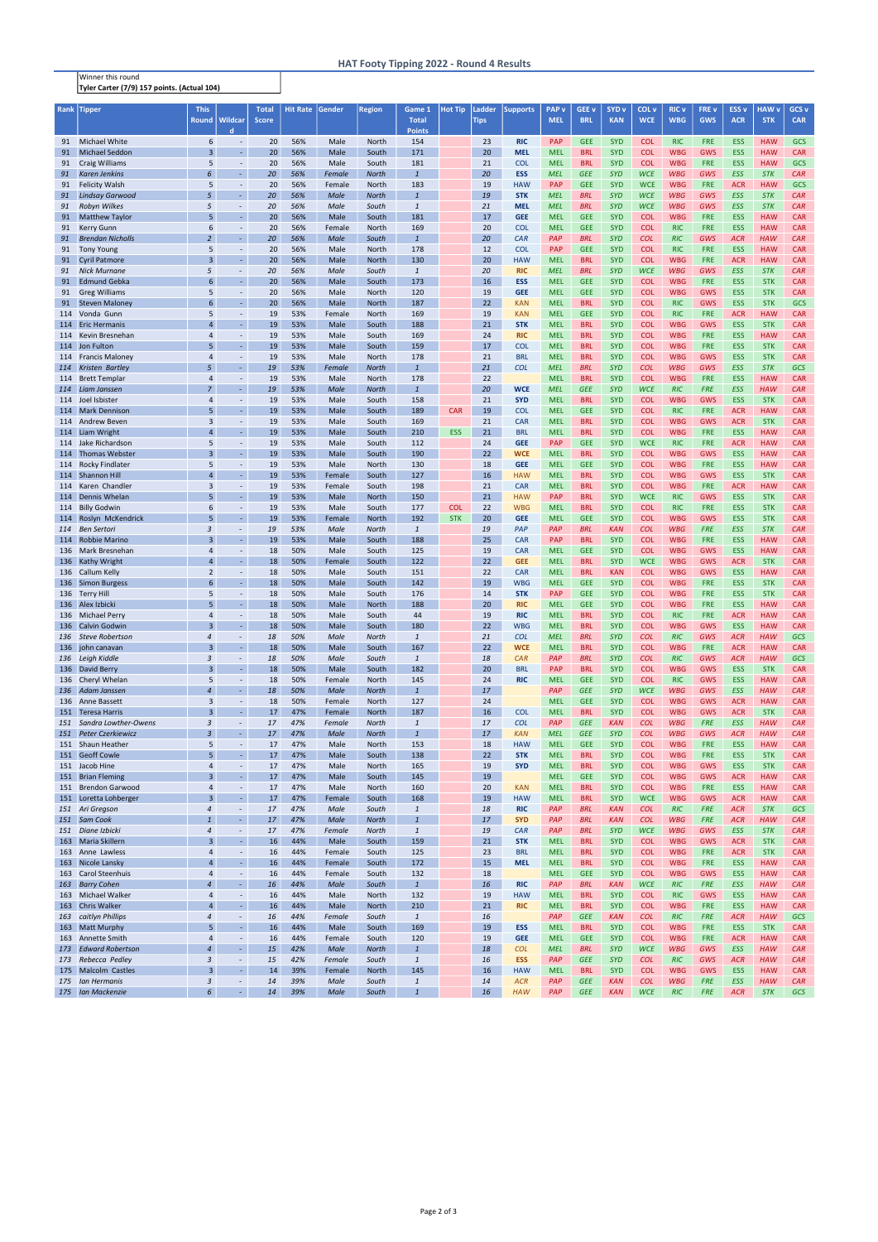Winner this round Tyler Carter (7/9) 157 points. (Actual 104)

| Rank       | Tipper                                      | <b>This</b>                  |                                              | <b>Total</b> | <b>Hit Rate</b> | Gender         | <b>Region</b>         | Game 1                           | <b>Hot Tip</b> | Ladder      | <b>Supports</b>          | <b>PAP</b> v             | GEE <sub>v</sub>         | SYD <sub>v</sub>         | COL <sub>V</sub>         | <b>RIC v</b>             | FRE v                    | <b>ESS v</b>             | <b>HAW v</b>             | GCS <sub>v</sub>         |
|------------|---------------------------------------------|------------------------------|----------------------------------------------|--------------|-----------------|----------------|-----------------------|----------------------------------|----------------|-------------|--------------------------|--------------------------|--------------------------|--------------------------|--------------------------|--------------------------|--------------------------|--------------------------|--------------------------|--------------------------|
|            |                                             | <b>Round</b>                 | <b>Wildcar</b>                               | <b>Score</b> |                 |                |                       | <b>Total</b>                     |                | <b>Tips</b> |                          | <b>MEL</b>               | <b>BRL</b>               | <b>KAN</b>               | <b>WCE</b>               | <b>WBG</b>               | <b>GWS</b>               | <b>ACR</b>               | <b>STK</b>               | <b>CAR</b>               |
|            |                                             |                              | d                                            |              |                 |                |                       | <b>Points</b>                    |                |             |                          |                          |                          |                          |                          |                          |                          |                          |                          |                          |
|            | 91 Michael White                            | 6                            | $\omega$                                     | 20           | 56%             | Male           | North                 | 154                              |                | 23          | <b>RIC</b>               | <b>PAP</b>               | <b>GEE</b>               | <b>SYD</b>               | <b>COL</b>               | <b>RIC</b>               | <b>FRE</b>               | <b>ESS</b>               | <b>HAW</b>               | <b>GCS</b>               |
| 91         | <b>Michael Seddon</b>                       | $\overline{3}$               | $\omega$                                     | 20           | 56%             | Male           | South                 | 171                              |                | 20          | <b>MEL</b>               | <b>MEL</b>               | <b>BRL</b>               | <b>SYD</b>               | <b>COL</b>               | <b>WBG</b>               | <b>GWS</b>               | <b>ESS</b>               | <b>HAW</b>               | <b>CAR</b>               |
| 91         | <b>Craig Williams</b>                       | 5                            | $\overline{\phantom{a}}$                     | 20           | 56%             | Male           | South                 | 181                              |                | 21          | <b>COL</b>               | <b>MEL</b>               | <b>BRL</b>               | <b>SYD</b>               | <b>COL</b>               | <b>WBG</b>               | <b>FRE</b>               | <b>ESS</b>               | <b>HAW</b>               | <b>GCS</b>               |
| 91         | <b>Karen Jenkins</b>                        | 6                            | $\sim$                                       | 20           | 56%             | Female         | <b>North</b>          | $\overline{1}$                   |                | 20          | <b>ESS</b>               | <b>MEL</b>               | <b>GEE</b>               | <b>SYD</b>               | <b>WCE</b>               | <b>WBG</b>               | GWS                      | <b>ESS</b>               | <b>STK</b>               | CAR                      |
| 91         | <b>Felicity Walsh</b>                       | 5                            | $\blacksquare$                               | 20           | 56%             | Female         | North                 | 183                              |                | 19          | <b>HAW</b>               | <b>PAP</b>               | <b>GEE</b>               | <b>SYD</b>               | <b>WCE</b>               | <b>WBG</b>               | <b>FRE</b>               | <b>ACR</b>               | <b>HAW</b>               | GCS                      |
| 91         | <b>Lindsay Garwood</b>                      | 5                            | $\omega$                                     | 20           | 56%             | Male           | <b>North</b>          | $\overline{1}$                   |                | 19          | <b>STK</b>               | <b>MEL</b>               | <b>BRL</b>               | <b>SYD</b>               | <b>WCE</b>               | <b>WBG</b>               | GWS                      | <b>ESS</b>               | <b>STK</b>               | CAR                      |
| 91         | Robyn Wilkes                                | 5                            |                                              | 20           | 56%             | Male           | South                 | $\mathbf{1}$                     |                | 21          | <b>MEL</b>               | <b>MEL</b>               | <b>BRL</b>               | <b>SYD</b>               | <b>WCE</b>               | <b>WBG</b>               | GWS                      | <b>ESS</b>               | <b>STK</b>               | CAR                      |
| 91         | <b>Matthew Taylor</b>                       | 5                            | $\omega$                                     | 20           | 56%             | Male           | South                 | 181                              |                | 17          | <b>GEE</b>               | <b>MEL</b>               | <b>GEE</b>               | <b>SYD</b>               | <b>COL</b>               | <b>WBG</b>               | <b>FRE</b>               | <b>ESS</b>               | <b>HAW</b>               | <b>CAR</b>               |
| 91         | <b>Kerry Gunn</b>                           | 6<br>$\overline{2}$          | $\overline{\phantom{a}}$                     | 20           | 56%             | Female         | North                 | 169                              |                | 20          | <b>COL</b>               | <b>MEL</b>               | <b>GEE</b>               | <b>SYD</b>               | <b>COL</b>               | <b>RIC</b>               | <b>FRE</b>               | <b>ESS</b>               | <b>HAW</b>               | <b>CAR</b>               |
| 91         | <b>Brendan Nicholls</b>                     |                              | ÷,                                           | 20           | 56%             | Male           | South                 | $\overline{1}$                   |                | 20          | CAR                      | PAP                      | <b>BRL</b>               | <b>SYD</b>               | <b>COL</b>               | <b>RIC</b>               | GWS                      | <b>ACR</b>               | <b>HAW</b>               | CAR                      |
| 91<br>91   | <b>Tony Young</b><br><b>Cyril Patmore</b>   | 5<br>$\overline{3}$          | $\omega$                                     | 20<br>20     | 56%<br>56%      | Male<br>Male   | North<br>North        | 178<br>130                       |                | 12<br>20    | <b>COL</b><br><b>HAW</b> | <b>PAP</b><br><b>MEL</b> | <b>GEE</b><br><b>BRL</b> | <b>SYD</b><br><b>SYD</b> | <b>COL</b><br><b>COL</b> | <b>RIC</b><br><b>WBG</b> | <b>FRE</b><br><b>FRE</b> | <b>ESS</b><br><b>ACR</b> | <b>HAW</b><br><b>HAW</b> | <b>CAR</b><br><b>CAR</b> |
| 91         | <b>Nick Murnane</b>                         | 5                            | $\sim$                                       | 20           | 56%             | Male           | South                 | $\overline{1}$                   |                | 20          | <b>RIC</b>               | <b>MEL</b>               | <b>BRL</b>               | <b>SYD</b>               | <b>WCE</b>               | <b>WBG</b>               | <b>GWS</b>               | <b>ESS</b>               | <b>STK</b>               | CAR                      |
| 91         | <b>Edmund Gebka</b>                         | 6                            | $\omega$                                     | 20           | 56%             | Male           | South                 | 173                              |                | 16          | <b>ESS</b>               | <b>MEL</b>               | <b>GEE</b>               | <b>SYD</b>               | <b>COL</b>               | <b>WBG</b>               | <b>FRE</b>               | <b>ESS</b>               | <b>STK</b>               | <b>CAR</b>               |
| 91         | <b>Greg Williams</b>                        | 5                            | $\blacksquare$                               | 20           | 56%             | Male           | North                 | 120                              |                | 19          | <b>GEE</b>               | <b>MEL</b>               | <b>GEE</b>               | <b>SYD</b>               | <b>COL</b>               | <b>WBG</b>               | <b>GWS</b>               | <b>ESS</b>               | <b>STK</b>               | <b>CAR</b>               |
| 91         | <b>Steven Maloney</b>                       | 6                            | $\omega$                                     | 20           | 56%             | Male           | North                 | 187                              |                | 22          | <b>KAN</b>               | <b>MEL</b>               | <b>BRL</b>               | <b>SYD</b>               | <b>COL</b>               | <b>RIC</b>               | <b>GWS</b>               | <b>ESS</b>               | <b>STK</b>               | GCS                      |
|            | 114 Vonda Gunn                              | 5                            | $\overline{\phantom{a}}$                     | 19           | 53%             | Female         | North                 | 169                              |                | 19          | <b>KAN</b>               | <b>MEL</b>               | <b>GEE</b>               | <b>SYD</b>               | <b>COL</b>               | <b>RIC</b>               | <b>FRE</b>               | <b>ACR</b>               | <b>HAW</b>               | <b>CAR</b>               |
|            | 114 Eric Hermanis                           | 4                            |                                              | 19           | 53%             | Male           | South                 | 188                              |                | 21          | <b>STK</b>               | <b>MEL</b>               | <b>BRL</b>               | <b>SYD</b>               | <b>COL</b>               | <b>WBG</b>               | <b>GWS</b>               | <b>ESS</b>               | <b>STK</b>               | <b>CAR</b>               |
|            | 114 Kevin Bresnehan                         | 4                            | $\omega$                                     | 19           | 53%             | Male           | South                 | 169                              |                | 24          | <b>RIC</b>               | <b>MEL</b>               | <b>BRL</b>               | <b>SYD</b>               | <b>COL</b>               | <b>WBG</b>               | <b>FRE</b>               | <b>ESS</b>               | <b>HAW</b>               | <b>CAR</b>               |
|            | 114 Jon Fulton                              |                              | G                                            | 19           | 53%             | Male           | South                 | 159                              |                | 17          | <b>COL</b>               | <b>MEL</b>               | <b>BRL</b>               | <b>SYD</b>               | <b>COL</b>               | <b>WBG</b>               | <b>FRE</b>               | <b>ESS</b>               | <b>STK</b>               | <b>CAR</b>               |
|            | 114 Francis Maloney                         | 4                            | $\overline{\phantom{a}}$                     | 19           | 53%             | Male           | North                 | 178                              |                | 21          | <b>BRL</b>               | <b>MEL</b>               | <b>BRL</b>               | <b>SYD</b>               | <b>COL</b>               | <b>WBG</b>               | <b>GWS</b>               | <b>ESS</b>               | <b>STK</b>               | <b>CAR</b>               |
| 114        | <b>Kristen Bartley</b>                      | 5                            | ÷.                                           | 19           | 53%             | Female         | <b>North</b>          | $\overline{1}$                   |                | 21          | <b>COL</b>               | <b>MEL</b>               | <b>BRL</b>               | <b>SYD</b>               | <b>COL</b>               | <b>WBG</b>               | GWS                      | <b>ESS</b>               | <b>STK</b>               | GCS                      |
| 114        | <b>Brett Templar</b>                        | $\overline{4}$               | $\blacksquare$                               | 19           | 53%             | Male           | North                 | 178                              |                | 22          |                          | <b>MEL</b>               | <b>BRL</b>               | <b>SYD</b>               | <b>COL</b>               | <b>WBG</b>               | <b>FRE</b>               | <b>ESS</b>               | <b>HAW</b>               | <b>CAR</b>               |
| 114        | Liam Janssen                                | $\overline{7}$               | $\omega$                                     | 19           | 53%             | Male           | <b>North</b>          | $\overline{1}$                   |                | 20          | <b>WCE</b>               | <b>MEL</b>               | <b>GEE</b>               | <b>SYD</b>               | <b>WCE</b>               | <b>RIC</b>               | <b>FRE</b>               | <b>ESS</b>               | <b>HAW</b>               | CAR                      |
|            | 114 Joel Isbister                           | 4                            | ۰                                            | 19           | 53%             | Male           | South                 | 158                              |                | 21          | <b>SYD</b>               | <b>MEL</b>               | <b>BRL</b>               | <b>SYD</b>               | <b>COL</b>               | <b>WBG</b>               | <b>GWS</b>               | <b>ESS</b>               | <b>STK</b>               | <b>CAR</b>               |
|            | 114 Mark Dennison                           | 5                            |                                              | 19           | 53%             | Male           | South                 | 189                              | <b>CAR</b>     | 19          | <b>COL</b>               | <b>MEL</b>               | <b>GEE</b>               | <b>SYD</b>               | <b>COL</b>               | <b>RIC</b>               | <b>FRE</b>               | <b>ACR</b>               | <b>HAW</b>               | <b>CAR</b>               |
|            | 114 Andrew Beven                            | 3                            | $\blacksquare$                               | 19           | 53%             | Male           | South                 | 169                              |                | 21          | <b>CAR</b>               | <b>MEL</b>               | <b>BRL</b>               | <b>SYD</b>               | <b>COL</b>               | <b>WBG</b>               | <b>GWS</b>               | <b>ACR</b>               | <b>STK</b>               | <b>CAR</b>               |
|            | 114 Liam Wright                             | 4                            | $\sim$                                       | 19           | 53%             | Male           | South                 | 210                              | <b>ESS</b>     | 21          | <b>BRL</b>               | <b>MEL</b>               | <b>BRL</b>               | <b>SYD</b>               | <b>COL</b>               | <b>WBG</b>               | <b>FRE</b>               | <b>ESS</b>               | <b>HAW</b>               | <b>CAR</b>               |
|            | 114 Jake Richardson                         | 5                            | $\overline{\phantom{a}}$                     | 19           | 53%             | Male           | South                 | 112                              |                | 24          | <b>GEE</b>               | <b>PAP</b>               | <b>GEE</b>               | <b>SYD</b>               | <b>WCE</b>               | <b>RIC</b>               | <b>FRE</b>               | <b>ACR</b>               | <b>HAW</b>               | <b>CAR</b>               |
|            | 114 Thomas Webster                          | $\overline{3}$               | ÷.                                           | 19           | 53%             | Male           | South                 | 190                              |                | 22          | <b>WCE</b>               | <b>MEL</b>               | <b>BRL</b>               | <b>SYD</b>               | <b>COL</b>               | <b>WBG</b>               | <b>GWS</b>               | <b>ESS</b>               | <b>HAW</b>               | <b>CAR</b>               |
|            | 114 Rocky Findlater                         | 5<br>$\overline{\mathbf{A}}$ | $\overline{\phantom{a}}$<br>$\omega$         | 19           | 53%             | Male           | North                 | 130                              |                | 18          | <b>GEE</b>               | <b>MEL</b>               | <b>GEE</b>               | <b>SYD</b>               | <b>COL</b>               | <b>WBG</b>               | <b>FRE</b>               | <b>ESS</b>               | <b>HAW</b>               | <b>CAR</b>               |
|            | 114 Shannon Hill<br>114 Karen Chandler      | 3                            | $\blacksquare$                               | 19<br>19     | 53%<br>53%      | Female         | South<br>South        | 127<br>198                       |                | 16<br>21    | <b>HAW</b><br><b>CAR</b> | <b>MEL</b><br><b>MEL</b> | <b>BRL</b><br><b>BRL</b> | <b>SYD</b><br><b>SYD</b> | <b>COL</b><br><b>COL</b> | <b>WBG</b><br><b>WBG</b> | <b>GWS</b><br><b>FRE</b> | <b>ESS</b><br><b>ACR</b> | <b>STK</b><br><b>HAW</b> | <b>CAR</b><br><b>CAR</b> |
| 114        | Dennis Whelan                               |                              |                                              | 19           | 53%             | Female<br>Male | North                 | 150                              |                | 21          | <b>HAW</b>               | <b>PAP</b>               | <b>BRL</b>               | <b>SYD</b>               | <b>WCE</b>               | <b>RIC</b>               | <b>GWS</b>               | <b>ESS</b>               | <b>STK</b>               | <b>CAR</b>               |
|            | 114 Billy Godwin                            | 6                            | $\overline{\phantom{a}}$                     | 19           | 53%             | Male           | South                 | 177                              | <b>COL</b>     | 22          | <b>WBG</b>               | <b>MEL</b>               | <b>BRL</b>               | <b>SYD</b>               | <b>COL</b>               | <b>RIC</b>               | <b>FRE</b>               | <b>ESS</b>               | <b>STK</b>               | <b>CAR</b>               |
|            | 114 Roslyn McKendrick                       | 5                            | L,                                           | 19           | 53%             | Female         | North                 | 192                              | <b>STK</b>     | 20          | <b>GEE</b>               | <b>MEL</b>               | <b>GEE</b>               | <b>SYD</b>               | <b>COL</b>               | <b>WBG</b>               | <b>GWS</b>               | <b>ESS</b>               | <b>STK</b>               | <b>CAR</b>               |
| 114        | <b>Ben Sertori</b>                          | 3                            |                                              | 19           | 53%             | Male           | <b>North</b>          | $\mathbf{1}$                     |                | 19          | PAP                      | PAP                      | <b>BRL</b>               | <b>KAN</b>               | <b>COL</b>               | <b>WBG</b>               | <b>FRE</b>               | <b>ESS</b>               | <b>STK</b>               | CAR                      |
|            | 114 Robbie Marino                           | $\overline{3}$               | $\omega$                                     | 19           | 53%             | Male           | South                 | 188                              |                | 25          | <b>CAR</b>               | <b>PAP</b>               | <b>BRL</b>               | <b>SYD</b>               | <b>COL</b>               | <b>WBG</b>               | <b>FRE</b>               | <b>ESS</b>               | <b>HAW</b>               | <b>CAR</b>               |
|            | 136 Mark Bresnehan                          | 4                            | ۰                                            | 18           | 50%             | Male           | South                 | 125                              |                | 19          | <b>CAR</b>               | <b>MEL</b>               | <b>GEE</b>               | <b>SYD</b>               | <b>COL</b>               | <b>WBG</b>               | <b>GWS</b>               | <b>ESS</b>               | <b>HAW</b>               | <b>CAR</b>               |
|            | 136 Kathy Wright                            | $\overline{a}$               | $\omega$                                     | 18           | 50%             | Female         | South                 | 122                              |                | 22          | <b>GEE</b>               | <b>MEL</b>               | <b>BRL</b>               | <b>SYD</b>               | <b>WCE</b>               | <b>WBG</b>               | <b>GWS</b>               | <b>ACR</b>               | <b>STK</b>               | <b>CAR</b>               |
|            | 136 Callum Kelly                            | $\overline{2}$               |                                              | 18           | 50%             | Male           | South                 | 151                              |                | 22          | <b>CAR</b>               | <b>MEL</b>               | <b>BRL</b>               | <b>KAN</b>               | <b>COL</b>               | <b>WBG</b>               | <b>GWS</b>               | <b>ESS</b>               | <b>HAW</b>               | <b>CAR</b>               |
|            | 136 Simon Burgess                           | 6                            | $\sim$                                       | 18           | 50%             | Male           | South                 | 142                              |                | 19          | <b>WBG</b>               | <b>MEL</b>               | <b>GEE</b>               | <b>SYD</b>               | <b>COL</b>               | <b>WBG</b>               | <b>FRE</b>               | <b>ESS</b>               | <b>STK</b>               | <b>CAR</b>               |
|            | 136 Terry Hill                              | 5                            | $\omega$                                     | 18           | 50%             | Male           | South                 | 176                              |                | 14          | <b>STK</b>               | <b>PAP</b>               | <b>GEE</b>               | <b>SYD</b>               | <b>COL</b>               | <b>WBG</b>               | <b>FRE</b>               | <b>ESS</b>               | <b>STK</b>               | <b>CAR</b>               |
|            | 136 Alex Izbicki                            | 5                            | $\omega_{\rm c}$                             | 18           | 50%             | Male           | North                 | 188                              |                | 20          | <b>RIC</b>               | <b>MEL</b>               | <b>GEE</b>               | <b>SYD</b>               | <b>COL</b>               | <b>WBG</b>               | <b>FRE</b>               | <b>ESS</b>               | <b>HAW</b>               | <b>CAR</b>               |
|            | 136 Michael Perry                           | 4                            | $\blacksquare$<br>$\omega_{\rm c}$           | 18           | 50%             | Male           | South                 | 44                               |                | 19          | <b>RIC</b>               | <b>MEL</b>               | <b>BRL</b>               | <b>SYD</b>               | <b>COL</b>               | <b>RIC</b>               | <b>FRE</b>               | <b>ACR</b>               | <b>HAW</b>               | <b>CAR</b>               |
|            | 136 Calvin Godwin<br><b>Steve Robertson</b> | $\overline{3}$<br>4          |                                              | 18<br>18     | 50%<br>50%      | Male           | South                 | 180                              |                | 22<br>21    | <b>WBG</b><br><b>COL</b> | <b>MEL</b><br><b>MEL</b> | <b>BRL</b><br><b>BRL</b> | <b>SYD</b><br><b>SYD</b> | <b>COL</b><br><b>COL</b> | <b>WBG</b><br><b>RIC</b> | <b>GWS</b><br>GWS        | <b>ESS</b><br><b>ACR</b> | <b>HAW</b><br><b>HAW</b> | <b>CAR</b><br>GCS        |
| 136<br>136 | john canavan                                | $\overline{3}$               | $\overline{\phantom{a}}$<br>$\omega_{\rm c}$ | 18           | 50%             | Male<br>Male   | <b>North</b><br>South | $\ensuremath{\mathbf{1}}$<br>167 |                | 22          | <b>WCE</b>               | <b>MEL</b>               | <b>BRL</b>               | <b>SYD</b>               | <b>COL</b>               | <b>WBG</b>               | <b>FRE</b>               | <b>ACR</b>               | <b>HAW</b>               | <b>CAR</b>               |
| 136        | Leigh Kiddle                                | 3                            | $\sim$                                       | 18           | 50%             | Male           | South                 | $\mathbf{1}$                     |                | 18          | CAR                      | PAP                      | <b>BRL</b>               | <b>SYD</b>               | <b>COL</b>               | <b>RIC</b>               | GWS                      | <b>ACR</b>               | <b>HAW</b>               | GCS                      |
|            | 136 David Berry                             | $\overline{3}$               | $\omega$                                     | 18           | 50%             | Male           | South                 | 182                              |                | 20          | <b>BRL</b>               | <b>PAP</b>               | <b>BRL</b>               | <b>SYD</b>               | <b>COL</b>               | <b>WBG</b>               | <b>GWS</b>               | <b>ESS</b>               | <b>STK</b>               | <b>CAR</b>               |
|            | 136 Cheryl Whelan                           | 5                            | $\blacksquare$                               | 18           | 50%             | Female         | North                 | 145                              |                | 24          | <b>RIC</b>               | <b>MEL</b>               | <b>GEE</b>               | <b>SYD</b>               | <b>COL</b>               | <b>RIC</b>               | <b>GWS</b>               | <b>ESS</b>               | <b>HAW</b>               | <b>CAR</b>               |
| 136        | Adam Janssen                                | $\overline{a}$               | $\omega$                                     | 18           | 50%             | Male           | <b>North</b>          | $\overline{1}$                   |                | 17          |                          | PAP                      | <b>GEE</b>               | <b>SYD</b>               | <b>WCE</b>               | <b>WBG</b>               | GWS                      | <b>ESS</b>               | <b>HAW</b>               | CAR                      |
| 136        | Anne Bassett                                | 3                            | $\overline{\phantom{a}}$                     | 18           | 50%             | Female         | North                 | 127                              |                | 24          |                          | <b>MEL</b>               | <b>GEE</b>               | <b>SYD</b>               | <b>COL</b>               | <b>WBG</b>               | <b>GWS</b>               | <b>ACR</b>               | <b>HAW</b>               | <b>CAR</b>               |
|            | 151 Teresa Harris                           | $\overline{3}$               | ÷.                                           | 17           | 47%             | Female         | North                 | 187                              |                | 16          | <b>COL</b>               | <b>MEL</b>               | <b>BRL</b>               | <b>SYD</b>               | <b>COL</b>               | <b>WBG</b>               | <b>GWS</b>               | <b>ACR</b>               | <b>STK</b>               | <b>CAR</b>               |
| 151        | Sandra Lowther-Owens                        | 3                            | $\sim$                                       | 17           | 47%             | Female         | <b>North</b>          | $\ensuremath{\mathbf{1}}$        |                | 17          | <b>COL</b>               | PAP                      | <b>GEE</b>               | <b>KAN</b>               | <b>COL</b>               | <b>WBG</b>               | <b>FRE</b>               | <b>ESS</b>               | <b>HAW</b>               | CAR                      |
| 151        | <b>Peter Czerkiewicz</b>                    | $\overline{3}$               | $\omega$                                     | 17           | 47%             | Male           | <b>North</b>          | $\mathbf{1}$                     |                | 17          | <b>KAN</b>               | <b>MEL</b>               | <b>GEE</b>               | <b>SYD</b>               | <b>COL</b>               | <b>WBG</b>               | GWS                      | <b>ACR</b>               | <b>HAW</b>               | CAR                      |
|            | 151 Shaun Heather                           | 5                            | $\overline{\phantom{a}}$                     | 17           | 47%             | Male           | North                 | 153                              |                | 18          | <b>HAW</b>               | <b>MEL</b>               | <b>GEE</b>               | <b>SYD</b>               | <b>COL</b>               | <b>WBG</b>               | <b>FRE</b>               | <b>ESS</b>               | <b>HAW</b>               | <b>CAR</b>               |
|            | 151 Geoff Cowle                             | 5                            | $\omega$                                     | 17           | 47%             | Male           | South                 | 138                              |                | 22          | <b>STK</b>               | <b>MEL</b>               | <b>BRL</b>               | <b>SYD</b>               | <b>COL</b>               | <b>WBG</b>               | <b>FRE</b>               | <b>ESS</b>               | <b>STK</b>               | <b>CAR</b>               |
|            | 151 Jacob Hine                              | $\overline{4}$               | $\blacksquare$                               | 17           | 47%             | Male           | North                 | 165                              |                | 19          | <b>SYD</b>               | <b>MEL</b>               | <b>BRL</b>               | <b>SYD</b>               | <b>COL</b>               | <b>WBG</b>               | <b>GWS</b>               | <b>ESS</b>               | <b>STK</b>               | <b>CAR</b>               |
|            | 151 Brian Fleming                           | $\overline{3}$               | $\omega$                                     | 17           | 47%             | Male           | South                 | 145                              |                | 19          |                          | <b>MEL</b>               | <b>GEE</b>               | <b>SYD</b>               | <b>COL</b>               | <b>WBG</b>               | <b>GWS</b>               | <b>ACR</b>               | <b>HAW</b>               | <b>CAR</b>               |
|            | 151 Brendon Garwood                         | 4                            | $\omega$<br>ä,                               | 17           | 47%             | Male           | North                 | 160                              |                | 20          | <b>KAN</b>               | <b>MEL</b>               | <b>BRL</b>               | <b>SYD</b>               | <b>COL</b>               | <b>WBG</b>               | <b>FRE</b>               | <b>ESS</b>               | <b>HAW</b>               | <b>CAR</b>               |
|            | 151 Loretta Lohberger<br>151 Ari Gregson    | $\overline{3}$<br>4          |                                              | 17<br>17     | 47%             | Female<br>Male | South<br>South        | 168<br>$\ensuremath{\mathbf{1}}$ |                | 19<br>18    | <b>HAW</b><br><b>RIC</b> | <b>MEL</b><br>PAP        | <b>BRL</b>               | <b>SYD</b><br><b>KAN</b> | <b>WCE</b><br><b>COL</b> | <b>WBG</b><br><b>RIC</b> | <b>GWS</b><br><b>FRE</b> | <b>ACR</b><br><b>ACR</b> | <b>HAW</b><br><b>STK</b> | <b>CAR</b><br>GCS        |
|            | 151 Sam Cook                                | $\mathbf{1}$                 | $\overline{\phantom{a}}$<br>$\sim$           | 17           | 47%<br>47%      | Male           | <b>North</b>          | $\overline{1}$                   |                | 17          | <b>SYD</b>               | PAP                      | <b>BRL</b><br><b>BRL</b> | <b>KAN</b>               | <b>COL</b>               | <b>WBG</b>               | <b>FRE</b>               | <b>ACR</b>               | <b>HAW</b>               | CAR                      |
| 151        | Diane Izbicki                               | $\overline{4}$               | $\sim$                                       | 17           | 47%             | Female         | <b>North</b>          | $\overline{1}$                   |                | 19          | CAR                      | PAP                      | <b>BRL</b>               | <b>SYD</b>               | <b>WCE</b>               | <b>WBG</b>               | GWS                      | <b>ESS</b>               | <b>STK</b>               | CAR                      |
| 163        | Maria Skillern                              | $\overline{3}$               | $\omega_{\rm c}$                             | 16           | 44%             | Male           | South                 | 159                              |                | 21          | <b>STK</b>               | <b>MEL</b>               | <b>BRL</b>               | <b>SYD</b>               | <b>COL</b>               | <b>WBG</b>               | <b>GWS</b>               | <b>ACR</b>               | <b>STK</b>               | <b>CAR</b>               |
| 163        | Anne Lawless                                | 4                            | $\sim$                                       | 16           | 44%             | Female         | South                 | 125                              |                | 23          | <b>BRL</b>               | <b>MEL</b>               | <b>BRL</b>               | <b>SYD</b>               | <b>COL</b>               | <b>WBG</b>               | <b>FRE</b>               | <b>ACR</b>               | <b>STK</b>               | <b>CAR</b>               |
| 163        | Nicole Lansky                               | 4                            | $\omega$                                     | 16           | 44%             | Female         | South                 | 172                              |                | 15          | <b>MEL</b>               | <b>MEL</b>               | <b>BRL</b>               | <b>SYD</b>               | <b>COL</b>               | <b>WBG</b>               | <b>FRE</b>               | <b>ESS</b>               | <b>HAW</b>               | <b>CAR</b>               |
| 163        | <b>Carol Steenhuis</b>                      | $\overline{4}$               | $\overline{\phantom{a}}$                     | 16           | 44%             | Female         | South                 | 132                              |                | 18          |                          | <b>MEL</b>               | <b>GEE</b>               | <b>SYD</b>               | <b>COL</b>               | <b>WBG</b>               | <b>GWS</b>               | <b>ESS</b>               | <b>HAW</b>               | <b>CAR</b>               |
| 163        | <b>Barry Cohen</b>                          | $\overline{A}$               | $\omega$                                     | 16           | 44%             | Male           | South                 | $\overline{1}$                   |                | 16          | <b>RIC</b>               | PAP                      | <b>BRL</b>               | <b>KAN</b>               | <b>WCE</b>               | <b>RIC</b>               | <b>FRE</b>               | <b>ESS</b>               | <b>HAW</b>               | CAR                      |
|            | 163 Michael Walker                          | 4                            | $\sim$                                       | 16           | 44%             | Male           | North                 | 132                              |                | 19          | <b>HAW</b>               | <b>MEL</b>               | <b>BRL</b>               | <b>SYD</b>               | <b>COL</b>               | <b>RIC</b>               | <b>GWS</b>               | <b>ESS</b>               | <b>HAW</b>               | <b>CAR</b>               |
| 163        | <b>Chris Walker</b>                         | $\overline{4}$               | ÷.                                           | 16           | 44%             | Male           | North                 | 210                              |                | 21          | <b>RIC</b>               | <b>MEL</b>               | <b>BRL</b>               | <b>SYD</b>               | <b>COL</b>               | <b>WBG</b>               | <b>FRE</b>               | <b>ESS</b>               | <b>HAW</b>               | <b>CAR</b>               |
| 163        | caitlyn Phillips                            | 4                            | $\sim$                                       | 16           | 44%             | Female         | South                 | $\mathbf{1}$                     |                | 16          |                          | PAP                      | <b>GEE</b>               | <b>KAN</b>               | <b>COL</b>               | <b>RIC</b>               | <b>FRE</b>               | <b>ACR</b>               | <b>HAW</b>               | GCS                      |
| 163        | <b>Matt Murphy</b>                          | 5                            | $\omega$                                     | 16           | 44%             | Male           | South                 | 169                              |                | 19          | <b>ESS</b>               | <b>MEL</b>               | <b>BRL</b>               | <b>SYD</b>               | <b>COL</b>               | <b>WBG</b>               | <b>FRE</b>               | <b>ESS</b>               | <b>STK</b>               | <b>CAR</b>               |
| 163        | Annette Smith                               | $\overline{4}$               | $\blacksquare$                               | 16           | 44%             | Female         | South                 | 120                              |                | 19          | <b>GEE</b>               | <b>MEL</b>               | <b>GEE</b>               | <b>SYD</b>               | <b>COL</b>               | <b>WBG</b>               | <b>FRE</b>               | <b>ACR</b>               | <b>HAW</b>               | <b>CAR</b>               |
|            | 173 Edward Robertson                        | $\overline{A}$               | $\omega$                                     | 15           | 42%             | Male           | <b>North</b>          | $\overline{1}$                   |                | 18          | <b>COL</b>               | <b>MEL</b>               | <b>BRL</b>               | <b>SYD</b>               | <b>WCE</b>               | <b>WBG</b>               | GWS                      | <b>ESS</b>               | <b>HAW</b>               | CAR                      |
| 173<br>175 | Rebecca Pedley<br>Malcolm Castles           | 3<br>$\overline{3}$          | $\sim$<br>$\omega$                           | 15<br>14     | 42%<br>39%      | Female         | South<br>North        | $\mathbf{1}$<br>145              |                | 16<br>16    | <b>ESS</b>               | PAP<br><b>MEL</b>        | <b>GEE</b><br><b>BRL</b> | <b>SYD</b><br><b>SYD</b> | <b>COL</b><br><b>COL</b> | <b>RIC</b><br><b>WBG</b> | <b>GWS</b><br><b>GWS</b> | <b>ACR</b><br>ESS        | <b>HAW</b><br><b>HAW</b> | CAR<br><b>CAR</b>        |
| 175        | Ian Hermanis                                | 3                            | $\sim$                                       | 14           | 39%             | Female<br>Male | South                 | $\mathbf{1}$                     |                | 14          | <b>HAW</b><br><b>ACR</b> | PAP                      | <b>GEE</b>               | <b>KAN</b>               | <b>COL</b>               | <b>WBG</b>               | <b>FRE</b>               | <b>ESS</b>               | <b>HAW</b>               | CAR                      |
|            | 175 Ian Mackenzie                           | 6                            | $\omega$                                     | 14           | 39%             | Male           | South                 | $\mathbf{1}$                     |                | 16          | <b>HAW</b>               | PAP                      | <b>GEE</b>               | <b>KAN</b>               | <b>WCE</b>               | <b>RIC</b>               | <b>FRE</b>               | <b>ACR</b>               | <b>STK</b>               | GCS                      |
|            |                                             |                              |                                              |              |                 |                |                       |                                  |                |             |                          |                          |                          |                          |                          |                          |                          |                          |                          |                          |